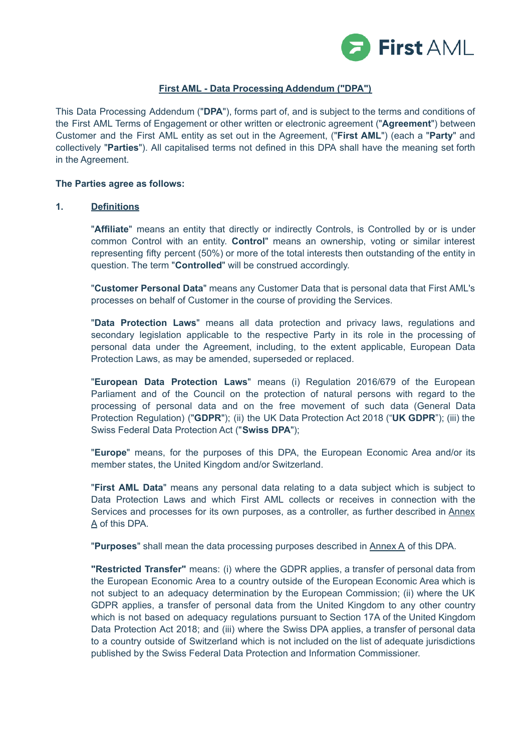

## **First AML - Data Processing Addendum ("DPA")**

This Data Processing Addendum ("**DPA**"), forms part of, and is subject to the terms and conditions of the First AML Terms of Engagement or other written or electronic agreement ("**Agreement**") between Customer and the First AML entity as set out in the Agreement, ("**First AML**") (each a "**Party**" and collectively "**Parties**"). All capitalised terms not defined in this DPA shall have the meaning set forth in the Agreement.

#### **The Parties agree as follows:**

#### **1. Definitions**

"**Affiliate**" means an entity that directly or indirectly Controls, is Controlled by or is under common Control with an entity. **Control**" means an ownership, voting or similar interest representing fifty percent (50%) or more of the total interests then outstanding of the entity in question. The term "**Controlled**" will be construed accordingly.

"**Customer Personal Data**" means any Customer Data that is personal data that First AML's processes on behalf of Customer in the course of providing the Services.

"**Data Protection Laws**" means all data protection and privacy laws, regulations and secondary legislation applicable to the respective Party in its role in the processing of personal data under the Agreement, including, to the extent applicable, European Data Protection Laws, as may be amended, superseded or replaced.

"**European Data Protection Laws**" means (i) Regulation 2016/679 of the European Parliament and of the Council on the protection of natural persons with regard to the processing of personal data and on the free movement of such data (General Data Protection Regulation) ("**GDPR**"); (ii) the UK Data Protection Act 2018 ("**UK GDPR**"); (iii) the Swiss Federal Data Protection Act ("**Swiss DPA**");

"**Europe**" means, for the purposes of this DPA, the European Economic Area and/or its member states, the United Kingdom and/or Switzerland.

"**First AML Data**" means any personal data relating to a data subject which is subject to Data Protection Laws and which First AML collects or receives in connection with the Services and processes for its own purposes, as a controller, as further described in Annex A of this DPA.

"**Purposes**" shall mean the data processing purposes described in Annex A of this DPA.

**"Restricted Transfer"** means: (i) where the GDPR applies, a transfer of personal data from the European Economic Area to a country outside of the European Economic Area which is not subject to an adequacy determination by the European Commission; (ii) where the UK GDPR applies, a transfer of personal data from the United Kingdom to any other country which is not based on adequacy regulations pursuant to Section 17A of the United Kingdom Data Protection Act 2018; and (iii) where the Swiss DPA applies, a transfer of personal data to a country outside of Switzerland which is not included on the list of adequate jurisdictions published by the Swiss Federal Data Protection and Information Commissioner.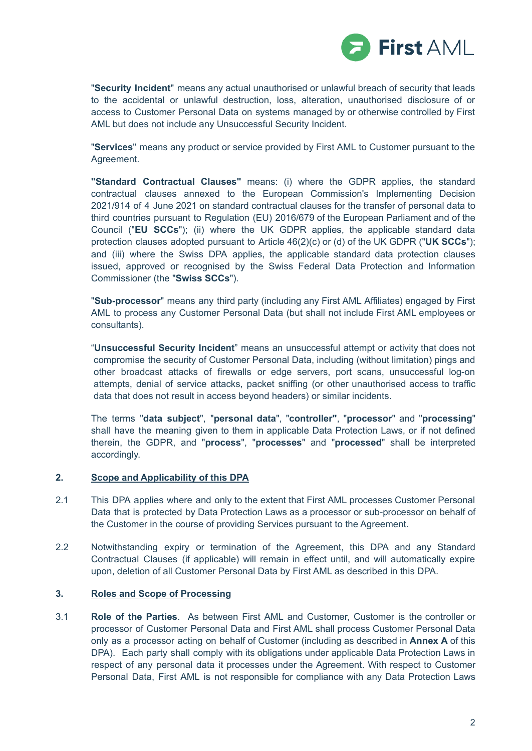

"**Security Incident**" means any actual unauthorised or unlawful breach of security that leads to the accidental or unlawful destruction, loss, alteration, unauthorised disclosure of or access to Customer Personal Data on systems managed by or otherwise controlled by First AML but does not include any Unsuccessful Security Incident.

"**Services**" means any product or service provided by First AML to Customer pursuant to the Agreement.

**"Standard Contractual Clauses"** means: (i) where the GDPR applies, the standard contractual clauses annexed to the European Commission's Implementing Decision 2021/914 of 4 June 2021 on standard contractual clauses for the transfer of personal data to third countries pursuant to Regulation (EU) 2016/679 of the European Parliament and of the Council ("**EU SCCs**"); (ii) where the UK GDPR applies, the applicable standard data protection clauses adopted pursuant to Article 46(2)(c) or (d) of the UK GDPR ("**UK SCCs**"); and (iii) where the Swiss DPA applies, the applicable standard data protection clauses issued, approved or recognised by the Swiss Federal Data Protection and Information Commissioner (the "**Swiss SCCs**").

"**Sub-processor**" means any third party (including any First AML Affiliates) engaged by First AML to process any Customer Personal Data (but shall not include First AML employees or consultants).

"**Unsuccessful Security Incident**" means an unsuccessful attempt or activity that does not compromise the security of Customer Personal Data, including (without limitation) pings and other broadcast attacks of firewalls or edge servers, port scans, unsuccessful log-on attempts, denial of service attacks, packet sniffing (or other unauthorised access to traffic data that does not result in access beyond headers) or similar incidents.

The terms "**data subject**", "**personal data**", "**controller"**, "**processor**" and "**processing**" shall have the meaning given to them in applicable Data Protection Laws, or if not defined therein, the GDPR, and "**process**", "**processes**" and "**processed**" shall be interpreted accordingly.

### **2. Scope and Applicability of this DPA**

- 2.1 This DPA applies where and only to the extent that First AML processes Customer Personal Data that is protected by Data Protection Laws as a processor or sub-processor on behalf of the Customer in the course of providing Services pursuant to the Agreement.
- 2.2 Notwithstanding expiry or termination of the Agreement, this DPA and any Standard Contractual Clauses (if applicable) will remain in effect until, and will automatically expire upon, deletion of all Customer Personal Data by First AML as described in this DPA.

## **3. Roles and Scope of Processing**

3.1 **Role of the Parties**. As between First AML and Customer, Customer is the controller or processor of Customer Personal Data and First AML shall process Customer Personal Data only as a processor acting on behalf of Customer (including as described in **Annex A** of this DPA). Each party shall comply with its obligations under applicable Data Protection Laws in respect of any personal data it processes under the Agreement. With respect to Customer Personal Data, First AML is not responsible for compliance with any Data Protection Laws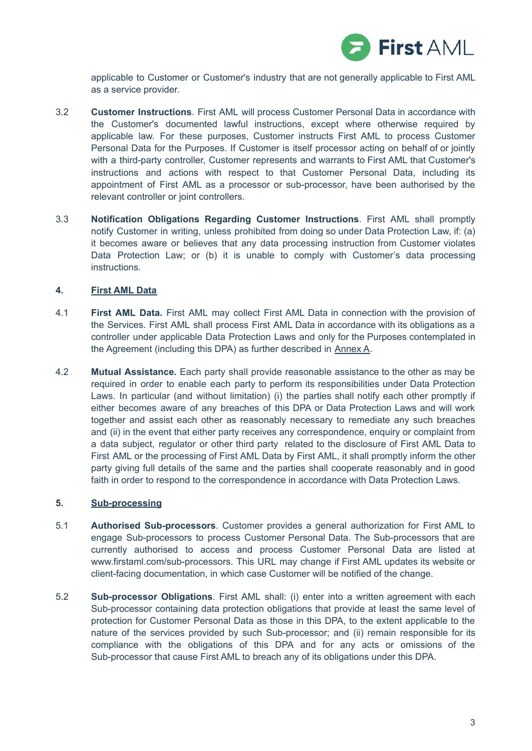

applicable to Customer or Customer's industry that are not generally applicable to First AML as a service provider.

- 3.2 **Customer Instructions**. First AML will process Customer Personal Data in accordance with the Customer's documented lawful instructions, except where otherwise required by applicable law. For these purposes, Customer instructs First AML to process Customer Personal Data for the Purposes. If Customer is itself processor acting on behalf of or jointly with a third-party controller, Customer represents and warrants to First AML that Customer's instructions and actions with respect to that Customer Personal Data, including its appointment of First AML as a processor or sub-processor, have been authorised by the relevant controller or joint controllers.
- 3.3 **Notification Obligations Regarding Customer Instructions**. First AML shall promptly notify Customer in writing, unless prohibited from doing so under Data Protection Law, if: (a) it becomes aware or believes that any data processing instruction from Customer violates Data Protection Law; or (b) it is unable to comply with Customer's data processing instructions.

## **4. First AML Data**

- 4.1 **First AML Data.** First AML may collect First AML Data in connection with the provision of the Services. First AML shall process First AML Data in accordance with its obligations as a controller under applicable Data Protection Laws and only for the Purposes contemplated in the Agreement (including this DPA) as further described in Annex A.
- 4.2 **Mutual Assistance.** Each party shall provide reasonable assistance to the other as may be required in order to enable each party to perform its responsibilities under Data Protection Laws. In particular (and without limitation) (i) the parties shall notify each other promptly if either becomes aware of any breaches of this DPA or Data Protection Laws and will work together and assist each other as reasonably necessary to remediate any such breaches and (ii) in the event that either party receives any correspondence, enquiry or complaint from a data subject, regulator or other third party related to the disclosure of First AML Data to First AML or the processing of First AML Data by First AML, it shall promptly inform the other party giving full details of the same and the parties shall cooperate reasonably and in good faith in order to respond to the correspondence in accordance with Data Protection Laws.

## **5. Sub-processing**

- 5.1 **Authorised Sub-processors**. Customer provides a general authorization for First AML to engage Sub-processors to process Customer Personal Data. The Sub-processors that are currently authorised to access and process Customer Personal Data are listed at www.firstaml.com/sub-processors. This URL may change if First AML updates its website or client-facing documentation, in which case Customer will be notified of the change.
- 5.2 **Sub-processor Obligations**. First AML shall: (i) enter into a written agreement with each Sub-processor containing data protection obligations that provide at least the same level of protection for Customer Personal Data as those in this DPA, to the extent applicable to the nature of the services provided by such Sub-processor; and (ii) remain responsible for its compliance with the obligations of this DPA and for any acts or omissions of the Sub-processor that cause First AML to breach any of its obligations under this DPA.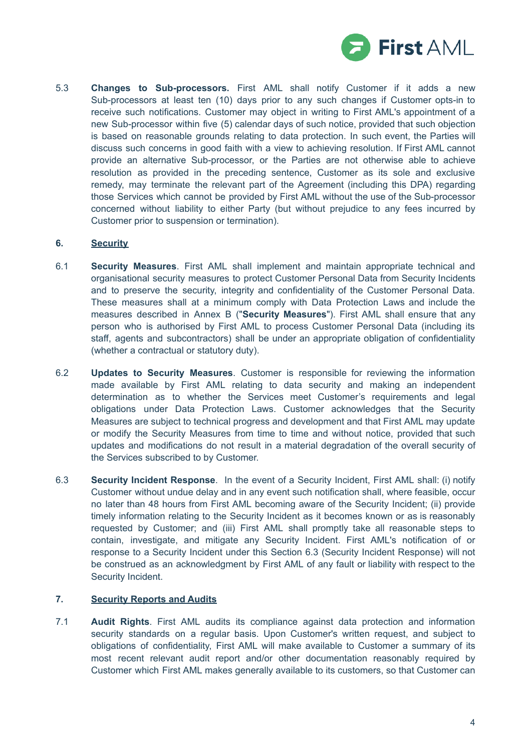

5.3 **Changes to Sub-processors.** First AML shall notify Customer if it adds a new Sub-processors at least ten (10) days prior to any such changes if Customer opts-in to receive such notifications. Customer may object in writing to First AML's appointment of a new Sub-processor within five (5) calendar days of such notice, provided that such objection is based on reasonable grounds relating to data protection. In such event, the Parties will discuss such concerns in good faith with a view to achieving resolution. If First AML cannot provide an alternative Sub-processor, or the Parties are not otherwise able to achieve resolution as provided in the preceding sentence, Customer as its sole and exclusive remedy, may terminate the relevant part of the Agreement (including this DPA) regarding those Services which cannot be provided by First AML without the use of the Sub-processor concerned without liability to either Party (but without prejudice to any fees incurred by Customer prior to suspension or termination).

## **6. Security**

- 6.1 **Security Measures**. First AML shall implement and maintain appropriate technical and organisational security measures to protect Customer Personal Data from Security Incidents and to preserve the security, integrity and confidentiality of the Customer Personal Data. These measures shall at a minimum comply with Data Protection Laws and include the measures described in Annex B ("**Security Measures**"). First AML shall ensure that any person who is authorised by First AML to process Customer Personal Data (including its staff, agents and subcontractors) shall be under an appropriate obligation of confidentiality (whether a contractual or statutory duty).
- 6.2 **Updates to Security Measures**. Customer is responsible for reviewing the information made available by First AML relating to data security and making an independent determination as to whether the Services meet Customer's requirements and legal obligations under Data Protection Laws. Customer acknowledges that the Security Measures are subject to technical progress and development and that First AML may update or modify the Security Measures from time to time and without notice, provided that such updates and modifications do not result in a material degradation of the overall security of the Services subscribed to by Customer.
- 6.3 **Security Incident Response**. In the event of a Security Incident, First AML shall: (i) notify Customer without undue delay and in any event such notification shall, where feasible, occur no later than 48 hours from First AML becoming aware of the Security Incident; (ii) provide timely information relating to the Security Incident as it becomes known or as is reasonably requested by Customer; and (iii) First AML shall promptly take all reasonable steps to contain, investigate, and mitigate any Security Incident. First AML's notification of or response to a Security Incident under this Section 6.3 (Security Incident Response) will not be construed as an acknowledgment by First AML of any fault or liability with respect to the Security Incident.

### **7. Security Reports and Audits**

7.1 **Audit Rights**. First AML audits its compliance against data protection and information security standards on a regular basis. Upon Customer's written request, and subject to obligations of confidentiality, First AML will make available to Customer a summary of its most recent relevant audit report and/or other documentation reasonably required by Customer which First AML makes generally available to its customers, so that Customer can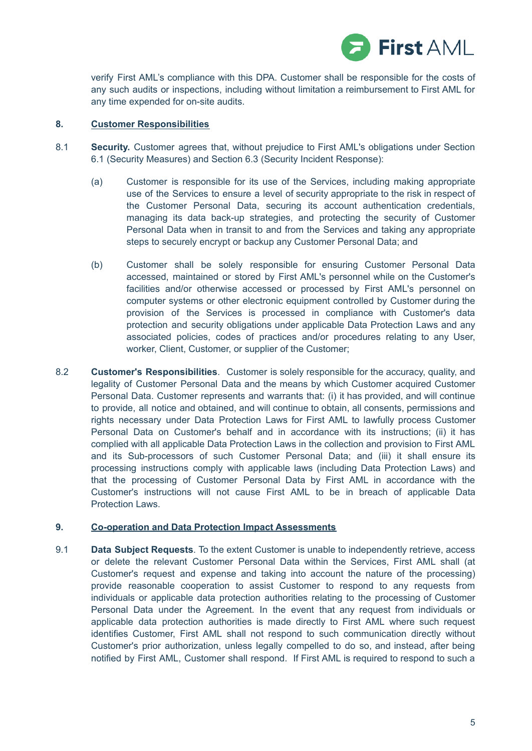

verify First AML's compliance with this DPA. Customer shall be responsible for the costs of any such audits or inspections, including without limitation a reimbursement to First AML for any time expended for on-site audits.

## **8. Customer Responsibilities**

- 8.1 **Security.** Customer agrees that, without prejudice to First AML's obligations under Section 6.1 (Security Measures) and Section 6.3 (Security Incident Response):
	- (a) Customer is responsible for its use of the Services, including making appropriate use of the Services to ensure a level of security appropriate to the risk in respect of the Customer Personal Data, securing its account authentication credentials, managing its data back-up strategies, and protecting the security of Customer Personal Data when in transit to and from the Services and taking any appropriate steps to securely encrypt or backup any Customer Personal Data; and
	- (b) Customer shall be solely responsible for ensuring Customer Personal Data accessed, maintained or stored by First AML's personnel while on the Customer's facilities and/or otherwise accessed or processed by First AML's personnel on computer systems or other electronic equipment controlled by Customer during the provision of the Services is processed in compliance with Customer's data protection and security obligations under applicable Data Protection Laws and any associated policies, codes of practices and/or procedures relating to any User, worker, Client, Customer, or supplier of the Customer;
- 8.2 **Customer's Responsibilities**. Customer is solely responsible for the accuracy, quality, and legality of Customer Personal Data and the means by which Customer acquired Customer Personal Data. Customer represents and warrants that: (i) it has provided, and will continue to provide, all notice and obtained, and will continue to obtain, all consents, permissions and rights necessary under Data Protection Laws for First AML to lawfully process Customer Personal Data on Customer's behalf and in accordance with its instructions; (ii) it has complied with all applicable Data Protection Laws in the collection and provision to First AML and its Sub-processors of such Customer Personal Data; and (iii) it shall ensure its processing instructions comply with applicable laws (including Data Protection Laws) and that the processing of Customer Personal Data by First AML in accordance with the Customer's instructions will not cause First AML to be in breach of applicable Data Protection Laws.

### **9. Co-operation and Data Protection Impact Assessments**

9.1 **Data Subject Requests**. To the extent Customer is unable to independently retrieve, access or delete the relevant Customer Personal Data within the Services, First AML shall (at Customer's request and expense and taking into account the nature of the processing) provide reasonable cooperation to assist Customer to respond to any requests from individuals or applicable data protection authorities relating to the processing of Customer Personal Data under the Agreement. In the event that any request from individuals or applicable data protection authorities is made directly to First AML where such request identifies Customer, First AML shall not respond to such communication directly without Customer's prior authorization, unless legally compelled to do so, and instead, after being notified by First AML, Customer shall respond. If First AML is required to respond to such a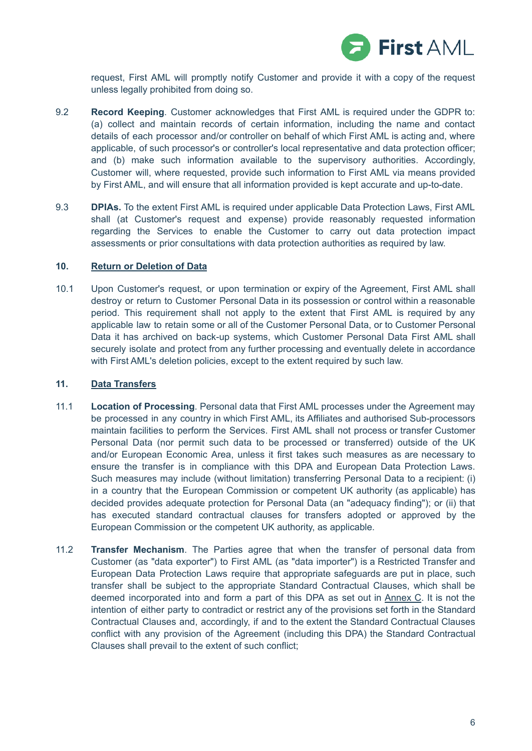

request, First AML will promptly notify Customer and provide it with a copy of the request unless legally prohibited from doing so.

- 9.2 **Record Keeping**. Customer acknowledges that First AML is required under the GDPR to: (a) collect and maintain records of certain information, including the name and contact details of each processor and/or controller on behalf of which First AML is acting and, where applicable, of such processor's or controller's local representative and data protection officer; and (b) make such information available to the supervisory authorities. Accordingly, Customer will, where requested, provide such information to First AML via means provided by First AML, and will ensure that all information provided is kept accurate and up-to-date.
- 9.3 **DPIAs.** To the extent First AML is required under applicable Data Protection Laws, First AML shall (at Customer's request and expense) provide reasonably requested information regarding the Services to enable the Customer to carry out data protection impact assessments or prior consultations with data protection authorities as required by law.

#### **10. Return or Deletion of Data**

10.1 Upon Customer's request, or upon termination or expiry of the Agreement, First AML shall destroy or return to Customer Personal Data in its possession or control within a reasonable period. This requirement shall not apply to the extent that First AML is required by any applicable law to retain some or all of the Customer Personal Data, or to Customer Personal Data it has archived on back-up systems, which Customer Personal Data First AML shall securely isolate and protect from any further processing and eventually delete in accordance with First AML's deletion policies, except to the extent required by such law.

### **11. Data Transfers**

- 11.1 **Location of Processing**. Personal data that First AML processes under the Agreement may be processed in any country in which First AML, its Affiliates and authorised Sub-processors maintain facilities to perform the Services. First AML shall not process or transfer Customer Personal Data (nor permit such data to be processed or transferred) outside of the UK and/or European Economic Area, unless it first takes such measures as are necessary to ensure the transfer is in compliance with this DPA and European Data Protection Laws. Such measures may include (without limitation) transferring Personal Data to a recipient: (i) in a country that the European Commission or competent UK authority (as applicable) has decided provides adequate protection for Personal Data (an "adequacy finding"); or (ii) that has executed standard contractual clauses for transfers adopted or approved by the European Commission or the competent UK authority, as applicable.
- 11.2 **Transfer Mechanism**. The Parties agree that when the transfer of personal data from Customer (as "data exporter") to First AML (as "data importer") is a Restricted Transfer and European Data Protection Laws require that appropriate safeguards are put in place, such transfer shall be subject to the appropriate Standard Contractual Clauses, which shall be deemed incorporated into and form a part of this DPA as set out in Annex C. It is not the intention of either party to contradict or restrict any of the provisions set forth in the Standard Contractual Clauses and, accordingly, if and to the extent the Standard Contractual Clauses conflict with any provision of the Agreement (including this DPA) the Standard Contractual Clauses shall prevail to the extent of such conflict;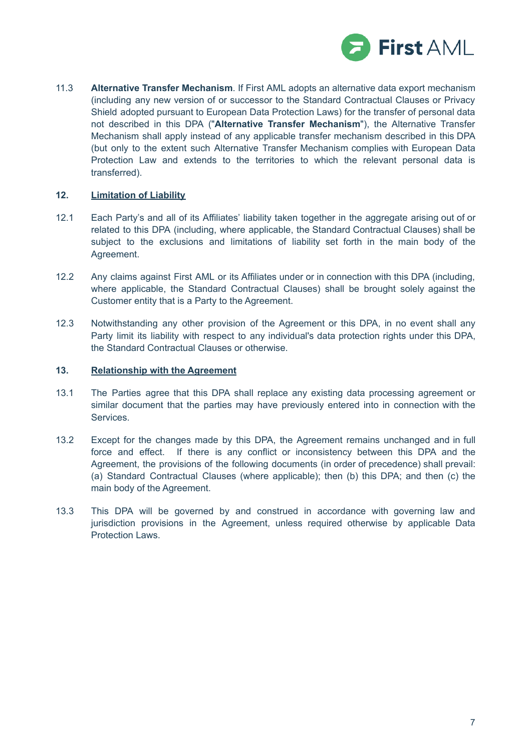

11.3 **Alternative Transfer Mechanism**. If First AML adopts an alternative data export mechanism (including any new version of or successor to the Standard Contractual Clauses or Privacy Shield adopted pursuant to European Data Protection Laws) for the transfer of personal data not described in this DPA ("**Alternative Transfer Mechanism**"), the Alternative Transfer Mechanism shall apply instead of any applicable transfer mechanism described in this DPA (but only to the extent such Alternative Transfer Mechanism complies with European Data Protection Law and extends to the territories to which the relevant personal data is transferred).

### **12. Limitation of Liability**

- 12.1 Each Party's and all of its Affiliates' liability taken together in the aggregate arising out of or related to this DPA (including, where applicable, the Standard Contractual Clauses) shall be subject to the exclusions and limitations of liability set forth in the main body of the Agreement.
- 12.2 Any claims against First AML or its Affiliates under or in connection with this DPA (including, where applicable, the Standard Contractual Clauses) shall be brought solely against the Customer entity that is a Party to the Agreement.
- 12.3 Notwithstanding any other provision of the Agreement or this DPA, in no event shall any Party limit its liability with respect to any individual's data protection rights under this DPA, the Standard Contractual Clauses or otherwise.

## **13. Relationship with the Agreement**

- 13.1 The Parties agree that this DPA shall replace any existing data processing agreement or similar document that the parties may have previously entered into in connection with the Services.
- 13.2 Except for the changes made by this DPA, the Agreement remains unchanged and in full force and effect. If there is any conflict or inconsistency between this DPA and the Agreement, the provisions of the following documents (in order of precedence) shall prevail: (a) Standard Contractual Clauses (where applicable); then (b) this DPA; and then (c) the main body of the Agreement.
- 13.3 This DPA will be governed by and construed in accordance with governing law and jurisdiction provisions in the Agreement, unless required otherwise by applicable Data Protection Laws.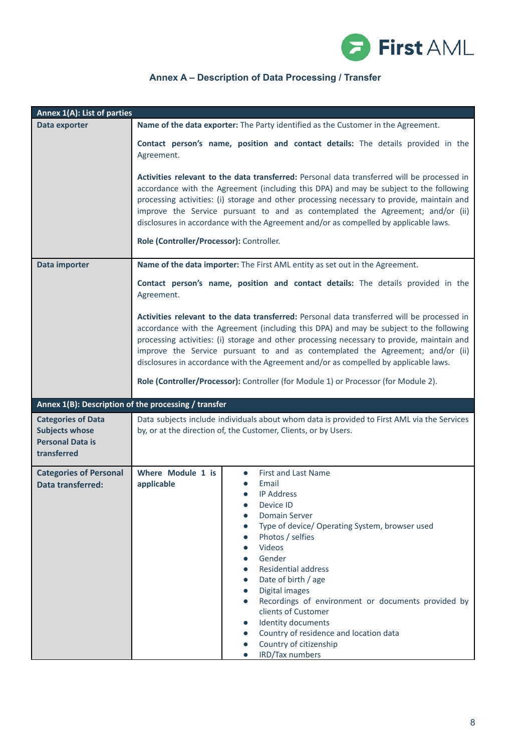

# **Annex A – Description of Data Processing / Transfer**

| Annex 1(A): List of parties                                                                  |                                                                                                                                                                                                                                                                                                                                                                                                                                                                                                                                   |  |
|----------------------------------------------------------------------------------------------|-----------------------------------------------------------------------------------------------------------------------------------------------------------------------------------------------------------------------------------------------------------------------------------------------------------------------------------------------------------------------------------------------------------------------------------------------------------------------------------------------------------------------------------|--|
| Data exporter                                                                                | Name of the data exporter: The Party identified as the Customer in the Agreement.                                                                                                                                                                                                                                                                                                                                                                                                                                                 |  |
|                                                                                              | Contact person's name, position and contact details: The details provided in the<br>Agreement.                                                                                                                                                                                                                                                                                                                                                                                                                                    |  |
|                                                                                              | Activities relevant to the data transferred: Personal data transferred will be processed in<br>accordance with the Agreement (including this DPA) and may be subject to the following<br>processing activities: (i) storage and other processing necessary to provide, maintain and<br>improve the Service pursuant to and as contemplated the Agreement; and/or (ii)<br>disclosures in accordance with the Agreement and/or as compelled by applicable laws.<br>Role (Controller/Processor): Controller.                         |  |
| Data importer                                                                                | Name of the data importer: The First AML entity as set out in the Agreement.                                                                                                                                                                                                                                                                                                                                                                                                                                                      |  |
|                                                                                              | Contact person's name, position and contact details: The details provided in the<br>Agreement.                                                                                                                                                                                                                                                                                                                                                                                                                                    |  |
|                                                                                              | Activities relevant to the data transferred: Personal data transferred will be processed in<br>accordance with the Agreement (including this DPA) and may be subject to the following<br>processing activities: (i) storage and other processing necessary to provide, maintain and<br>improve the Service pursuant to and as contemplated the Agreement; and/or (ii)<br>disclosures in accordance with the Agreement and/or as compelled by applicable laws.                                                                     |  |
|                                                                                              | Role (Controller/Processor): Controller (for Module 1) or Processor (for Module 2).                                                                                                                                                                                                                                                                                                                                                                                                                                               |  |
| Annex 1(B): Description of the processing / transfer                                         |                                                                                                                                                                                                                                                                                                                                                                                                                                                                                                                                   |  |
| <b>Categories of Data</b><br><b>Subjects whose</b><br><b>Personal Data is</b><br>transferred | Data subjects include individuals about whom data is provided to First AML via the Services<br>by, or at the direction of, the Customer, Clients, or by Users.                                                                                                                                                                                                                                                                                                                                                                    |  |
| <b>Categories of Personal</b><br><b>Data transferred:</b>                                    | Where Module 1 is<br>First and Last Name<br>$\bullet$<br>Email<br>applicable<br><b>IP Address</b><br>Device ID<br>Domain Server<br>Type of device/ Operating System, browser used<br>Photos / selfies<br>Videos<br>Gender<br><b>Residential address</b><br>Date of birth / age<br>Digital images<br>$\bullet$<br>Recordings of environment or documents provided by<br>$\bullet$<br>clients of Customer<br>Identity documents<br>Country of residence and location data<br>Country of citizenship<br>IRD/Tax numbers<br>$\bullet$ |  |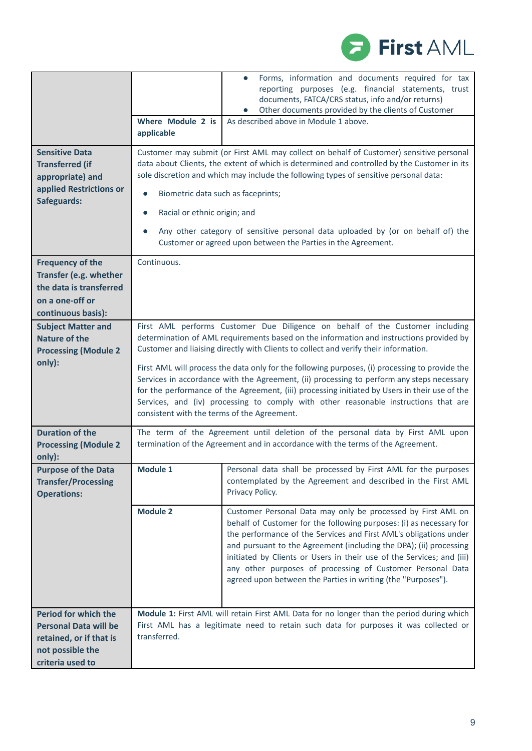

|                                                                                                                                |                                                                                 | Forms, information and documents required for tax<br>$\bullet$<br>reporting purposes (e.g. financial statements, trust<br>documents, FATCA/CRS status, info and/or returns)<br>Other documents provided by the clients of Customer                                                                                                                                                                                                                                                                                                                                                                                                                      |
|--------------------------------------------------------------------------------------------------------------------------------|---------------------------------------------------------------------------------|---------------------------------------------------------------------------------------------------------------------------------------------------------------------------------------------------------------------------------------------------------------------------------------------------------------------------------------------------------------------------------------------------------------------------------------------------------------------------------------------------------------------------------------------------------------------------------------------------------------------------------------------------------|
|                                                                                                                                | Where Module 2 is<br>applicable                                                 | As described above in Module 1 above.                                                                                                                                                                                                                                                                                                                                                                                                                                                                                                                                                                                                                   |
| <b>Sensitive Data</b><br><b>Transferred (if</b><br>appropriate) and<br>applied Restrictions or<br>Safeguards:                  | Biometric data such as faceprints;<br>$\bullet$<br>Racial or ethnic origin; and | Customer may submit (or First AML may collect on behalf of Customer) sensitive personal<br>data about Clients, the extent of which is determined and controlled by the Customer in its<br>sole discretion and which may include the following types of sensitive personal data:<br>Any other category of sensitive personal data uploaded by (or on behalf of) the<br>Customer or agreed upon between the Parties in the Agreement.                                                                                                                                                                                                                     |
| <b>Frequency of the</b><br>Transfer (e.g. whether<br>the data is transferred<br>on a one-off or<br>continuous basis):          | Continuous.                                                                     |                                                                                                                                                                                                                                                                                                                                                                                                                                                                                                                                                                                                                                                         |
| <b>Subject Matter and</b><br><b>Nature of the</b><br><b>Processing (Module 2</b><br>only):                                     | consistent with the terms of the Agreement.                                     | First AML performs Customer Due Diligence on behalf of the Customer including<br>determination of AML requirements based on the information and instructions provided by<br>Customer and liaising directly with Clients to collect and verify their information.<br>First AML will process the data only for the following purposes, (i) processing to provide the<br>Services in accordance with the Agreement, (ii) processing to perform any steps necessary<br>for the performance of the Agreement, (iii) processing initiated by Users in their use of the<br>Services, and (iv) processing to comply with other reasonable instructions that are |
| <b>Duration of the</b><br><b>Processing (Module 2</b><br>only):                                                                |                                                                                 | The term of the Agreement until deletion of the personal data by First AML upon<br>termination of the Agreement and in accordance with the terms of the Agreement.                                                                                                                                                                                                                                                                                                                                                                                                                                                                                      |
| <b>Purpose of the Data</b><br><b>Transfer/Processing</b><br><b>Operations:</b>                                                 | <b>Module 1</b>                                                                 | Personal data shall be processed by First AML for the purposes<br>contemplated by the Agreement and described in the First AML<br>Privacy Policy.                                                                                                                                                                                                                                                                                                                                                                                                                                                                                                       |
|                                                                                                                                | <b>Module 2</b>                                                                 | Customer Personal Data may only be processed by First AML on<br>behalf of Customer for the following purposes: (i) as necessary for<br>the performance of the Services and First AML's obligations under<br>and pursuant to the Agreement (including the DPA); (ii) processing<br>initiated by Clients or Users in their use of the Services; and (iii)<br>any other purposes of processing of Customer Personal Data<br>agreed upon between the Parties in writing (the "Purposes").                                                                                                                                                                   |
| <b>Period for which the</b><br><b>Personal Data will be</b><br>retained, or if that is<br>not possible the<br>criteria used to | transferred.                                                                    | Module 1: First AML will retain First AML Data for no longer than the period during which<br>First AML has a legitimate need to retain such data for purposes it was collected or                                                                                                                                                                                                                                                                                                                                                                                                                                                                       |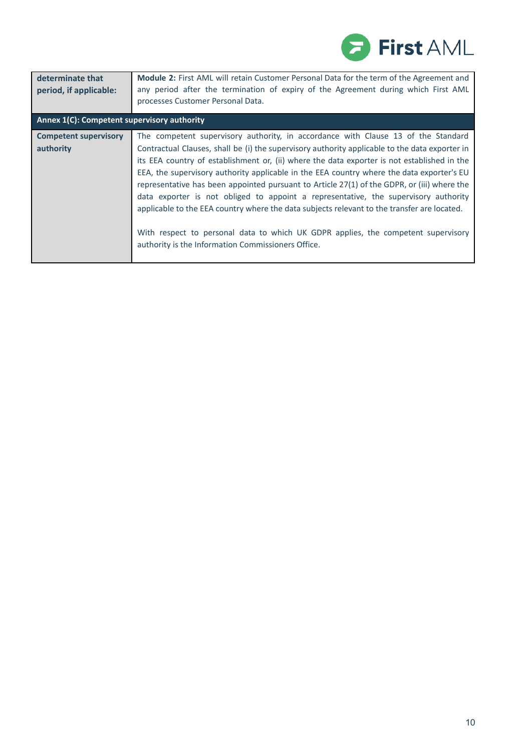

| determinate that                            | <b>Module 2:</b> First AML will retain Customer Personal Data for the term of the Agreement and                                                                                                                                                                                                                                                                                                                                                                                                                                                                                                                                                                                                                                                                                                                 |
|---------------------------------------------|-----------------------------------------------------------------------------------------------------------------------------------------------------------------------------------------------------------------------------------------------------------------------------------------------------------------------------------------------------------------------------------------------------------------------------------------------------------------------------------------------------------------------------------------------------------------------------------------------------------------------------------------------------------------------------------------------------------------------------------------------------------------------------------------------------------------|
| period, if applicable:                      | any period after the termination of expiry of the Agreement during which First AML                                                                                                                                                                                                                                                                                                                                                                                                                                                                                                                                                                                                                                                                                                                              |
| Annex 1(C): Competent supervisory authority | processes Customer Personal Data.                                                                                                                                                                                                                                                                                                                                                                                                                                                                                                                                                                                                                                                                                                                                                                               |
| <b>Competent supervisory</b><br>authority   | The competent supervisory authority, in accordance with Clause 13 of the Standard<br>Contractual Clauses, shall be (i) the supervisory authority applicable to the data exporter in<br>its EEA country of establishment or, (ii) where the data exporter is not established in the<br>EEA, the supervisory authority applicable in the EEA country where the data exporter's EU<br>representative has been appointed pursuant to Article 27(1) of the GDPR, or (iii) where the<br>data exporter is not obliged to appoint a representative, the supervisory authority<br>applicable to the EEA country where the data subjects relevant to the transfer are located.<br>With respect to personal data to which UK GDPR applies, the competent supervisory<br>authority is the Information Commissioners Office. |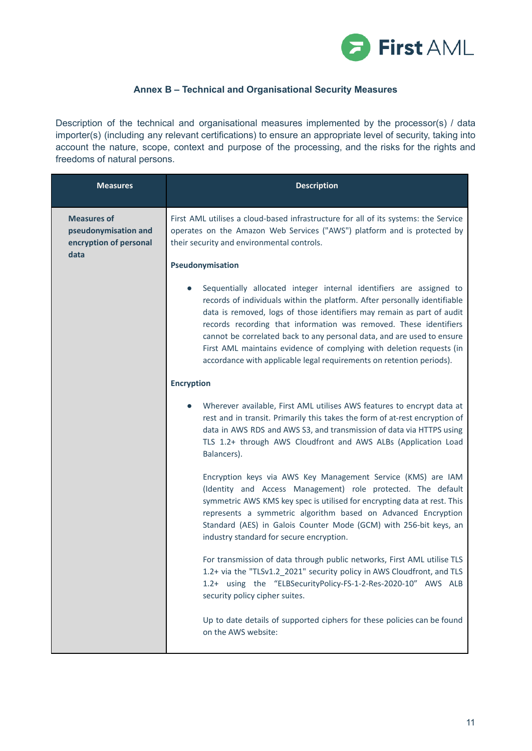

# **Annex B – Technical and Organisational Security Measures**

Description of the technical and organisational measures implemented by the processor(s) / data importer(s) (including any relevant certifications) to ensure an appropriate level of security, taking into account the nature, scope, context and purpose of the processing, and the risks for the rights and freedoms of natural persons.

| <b>Measures</b>                                                      | <b>Description</b>                                                                                                                                                                                                                                                                                                                                                                                                                                                                                                        |
|----------------------------------------------------------------------|---------------------------------------------------------------------------------------------------------------------------------------------------------------------------------------------------------------------------------------------------------------------------------------------------------------------------------------------------------------------------------------------------------------------------------------------------------------------------------------------------------------------------|
| <b>Measures of</b><br>pseudonymisation and<br>encryption of personal | First AML utilises a cloud-based infrastructure for all of its systems: the Service<br>operates on the Amazon Web Services ("AWS") platform and is protected by<br>their security and environmental controls.                                                                                                                                                                                                                                                                                                             |
| data                                                                 | Pseudonymisation                                                                                                                                                                                                                                                                                                                                                                                                                                                                                                          |
|                                                                      | Sequentially allocated integer internal identifiers are assigned to<br>records of individuals within the platform. After personally identifiable<br>data is removed, logs of those identifiers may remain as part of audit<br>records recording that information was removed. These identifiers<br>cannot be correlated back to any personal data, and are used to ensure<br>First AML maintains evidence of complying with deletion requests (in<br>accordance with applicable legal requirements on retention periods). |
|                                                                      | <b>Encryption</b>                                                                                                                                                                                                                                                                                                                                                                                                                                                                                                         |
|                                                                      | Wherever available, First AML utilises AWS features to encrypt data at<br>rest and in transit. Primarily this takes the form of at-rest encryption of<br>data in AWS RDS and AWS S3, and transmission of data via HTTPS using<br>TLS 1.2+ through AWS Cloudfront and AWS ALBs (Application Load<br>Balancers).                                                                                                                                                                                                            |
|                                                                      | Encryption keys via AWS Key Management Service (KMS) are IAM<br>(Identity and Access Management) role protected. The default<br>symmetric AWS KMS key spec is utilised for encrypting data at rest. This<br>represents a symmetric algorithm based on Advanced Encryption<br>Standard (AES) in Galois Counter Mode (GCM) with 256-bit keys, an<br>industry standard for secure encryption.                                                                                                                                |
|                                                                      | For transmission of data through public networks, First AML utilise TLS<br>1.2+ via the "TLSv1.2_2021" security policy in AWS Cloudfront, and TLS<br>1.2+ using the "ELBSecurityPolicy-FS-1-2-Res-2020-10" AWS ALB<br>security policy cipher suites.                                                                                                                                                                                                                                                                      |
|                                                                      | Up to date details of supported ciphers for these policies can be found<br>on the AWS website:                                                                                                                                                                                                                                                                                                                                                                                                                            |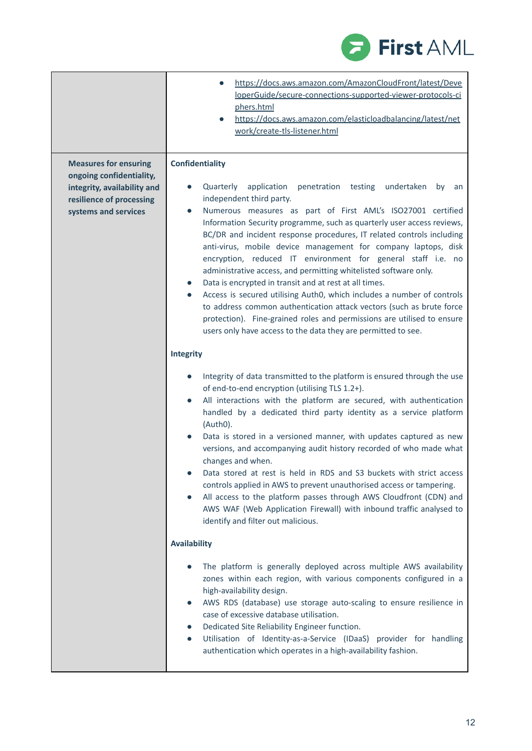

|                                                                                                                                             | https://docs.aws.amazon.com/AmazonCloudFront/latest/Deve<br>loperGuide/secure-connections-supported-viewer-protocols-ci<br>phers.html<br>https://docs.aws.amazon.com/elasticloadbalancing/latest/net<br>work/create-tls-listener.html                                                                                                                                                                                                                                                                                                                                                                                                                                                                                                                                                                                                                                                                                                    |
|---------------------------------------------------------------------------------------------------------------------------------------------|------------------------------------------------------------------------------------------------------------------------------------------------------------------------------------------------------------------------------------------------------------------------------------------------------------------------------------------------------------------------------------------------------------------------------------------------------------------------------------------------------------------------------------------------------------------------------------------------------------------------------------------------------------------------------------------------------------------------------------------------------------------------------------------------------------------------------------------------------------------------------------------------------------------------------------------|
| <b>Measures for ensuring</b><br>ongoing confidentiality,<br>integrity, availability and<br>resilience of processing<br>systems and services | <b>Confidentiality</b><br>Quarterly application<br>penetration<br>testing<br>undertaken<br>by<br>an<br>independent third party.<br>Numerous measures as part of First AML's ISO27001 certified<br>$\bullet$<br>Information Security programme, such as quarterly user access reviews,<br>BC/DR and incident response procedures, IT related controls including<br>anti-virus, mobile device management for company laptops, disk<br>encryption, reduced IT environment for general staff i.e. no<br>administrative access, and permitting whitelisted software only.<br>Data is encrypted in transit and at rest at all times.<br>Access is secured utilising Auth0, which includes a number of controls<br>$\bullet$<br>to address common authentication attack vectors (such as brute force<br>protection). Fine-grained roles and permissions are utilised to ensure<br>users only have access to the data they are permitted to see. |
|                                                                                                                                             | <b>Integrity</b><br>Integrity of data transmitted to the platform is ensured through the use<br>of end-to-end encryption (utilising TLS 1.2+).<br>All interactions with the platform are secured, with authentication<br>$\bullet$<br>handled by a dedicated third party identity as a service platform<br>(Auth0).<br>Data is stored in a versioned manner, with updates captured as new<br>versions, and accompanying audit history recorded of who made what<br>changes and when.<br>Data stored at rest is held in RDS and S3 buckets with strict access<br>controls applied in AWS to prevent unauthorised access or tampering.<br>All access to the platform passes through AWS Cloudfront (CDN) and<br>AWS WAF (Web Application Firewall) with inbound traffic analysed to<br>identify and filter out malicious.                                                                                                                  |
|                                                                                                                                             | <b>Availability</b><br>The platform is generally deployed across multiple AWS availability<br>zones within each region, with various components configured in a<br>high-availability design.<br>AWS RDS (database) use storage auto-scaling to ensure resilience in<br>case of excessive database utilisation.<br>Dedicated Site Reliability Engineer function.<br>Utilisation of Identity-as-a-Service (IDaaS) provider for handling<br>$\bullet$<br>authentication which operates in a high-availability fashion.                                                                                                                                                                                                                                                                                                                                                                                                                      |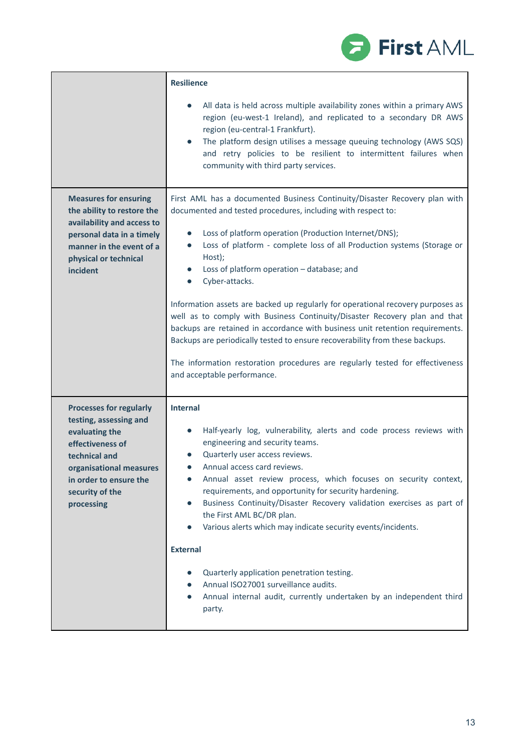|                                                                                                                                                                                                       | <b>Resilience</b>                                                                                                                                                                                                                                                                                                                                                                                                                                                                                                                                                                                                                                                                                                                                                                                                                                |
|-------------------------------------------------------------------------------------------------------------------------------------------------------------------------------------------------------|--------------------------------------------------------------------------------------------------------------------------------------------------------------------------------------------------------------------------------------------------------------------------------------------------------------------------------------------------------------------------------------------------------------------------------------------------------------------------------------------------------------------------------------------------------------------------------------------------------------------------------------------------------------------------------------------------------------------------------------------------------------------------------------------------------------------------------------------------|
|                                                                                                                                                                                                       | All data is held across multiple availability zones within a primary AWS<br>region (eu-west-1 Ireland), and replicated to a secondary DR AWS<br>region (eu-central-1 Frankfurt).<br>The platform design utilises a message queuing technology (AWS SQS)<br>and retry policies to be resilient to intermittent failures when<br>community with third party services.                                                                                                                                                                                                                                                                                                                                                                                                                                                                              |
| <b>Measures for ensuring</b><br>the ability to restore the<br>availability and access to<br>personal data in a timely<br>manner in the event of a<br>physical or technical<br>incident                | First AML has a documented Business Continuity/Disaster Recovery plan with<br>documented and tested procedures, including with respect to:<br>Loss of platform operation (Production Internet/DNS);<br>$\bullet$<br>Loss of platform - complete loss of all Production systems (Storage or<br>$\bullet$<br>Host);<br>Loss of platform operation - database; and<br>Cyber-attacks.<br>$\bullet$<br>Information assets are backed up regularly for operational recovery purposes as<br>well as to comply with Business Continuity/Disaster Recovery plan and that<br>backups are retained in accordance with business unit retention requirements.<br>Backups are periodically tested to ensure recoverability from these backups.<br>The information restoration procedures are regularly tested for effectiveness<br>and acceptable performance. |
| <b>Processes for regularly</b><br>testing, assessing and<br>evaluating the<br>effectiveness of<br>technical and<br>organisational measures<br>in order to ensure the<br>security of the<br>processing | <b>Internal</b><br>Half-yearly log, vulnerability, alerts and code process reviews with<br>$\bullet$<br>engineering and security teams.<br>Quarterly user access reviews.<br>Annual access card reviews.<br>$\bullet$<br>Annual asset review process, which focuses on security context,<br>requirements, and opportunity for security hardening.<br>Business Continuity/Disaster Recovery validation exercises as part of<br>the First AML BC/DR plan.<br>Various alerts which may indicate security events/incidents.<br>$\bullet$<br><b>External</b><br>Quarterly application penetration testing.<br>Annual ISO27001 surveillance audits.<br>Annual internal audit, currently undertaken by an independent third<br>$\bullet$<br>party.                                                                                                      |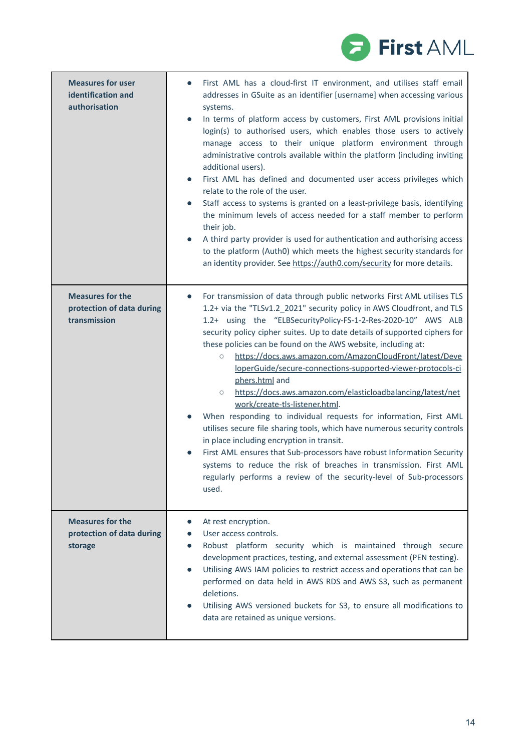

| <b>Measures for user</b><br>identification and<br>authorisation      | First AML has a cloud-first IT environment, and utilises staff email<br>addresses in GSuite as an identifier [username] when accessing various<br>systems.<br>In terms of platform access by customers, First AML provisions initial<br>login(s) to authorised users, which enables those users to actively<br>manage access to their unique platform environment through<br>administrative controls available within the platform (including inviting<br>additional users).<br>First AML has defined and documented user access privileges which<br>relate to the role of the user.<br>Staff access to systems is granted on a least-privilege basis, identifying<br>the minimum levels of access needed for a staff member to perform<br>their job.<br>A third party provider is used for authentication and authorising access<br>to the platform (Auth0) which meets the highest security standards for<br>an identity provider. See https://auth0.com/security for more details.                                                                                            |
|----------------------------------------------------------------------|----------------------------------------------------------------------------------------------------------------------------------------------------------------------------------------------------------------------------------------------------------------------------------------------------------------------------------------------------------------------------------------------------------------------------------------------------------------------------------------------------------------------------------------------------------------------------------------------------------------------------------------------------------------------------------------------------------------------------------------------------------------------------------------------------------------------------------------------------------------------------------------------------------------------------------------------------------------------------------------------------------------------------------------------------------------------------------|
| <b>Measures for the</b><br>protection of data during<br>transmission | For transmission of data through public networks First AML utilises TLS<br>$\bullet$<br>1.2+ via the "TLSv1.2_2021" security policy in AWS Cloudfront, and TLS<br>1.2+ using the "ELBSecurityPolicy-FS-1-2-Res-2020-10" AWS ALB<br>security policy cipher suites. Up to date details of supported ciphers for<br>these policies can be found on the AWS website, including at:<br>https://docs.aws.amazon.com/AmazonCloudFront/latest/Deve<br>$\circ$<br>loperGuide/secure-connections-supported-viewer-protocols-ci<br>phers.html and<br>https://docs.aws.amazon.com/elasticloadbalancing/latest/net<br>$\circ$<br>work/create-tls-listener.html.<br>When responding to individual requests for information, First AML<br>utilises secure file sharing tools, which have numerous security controls<br>in place including encryption in transit.<br>First AML ensures that Sub-processors have robust Information Security<br>systems to reduce the risk of breaches in transmission. First AML<br>regularly performs a review of the security-level of Sub-processors<br>used. |
| <b>Measures for the</b><br>protection of data during<br>storage      | At rest encryption.<br>$\bullet$<br>User access controls.<br>Robust platform security which is maintained through secure<br>development practices, testing, and external assessment (PEN testing).<br>Utilising AWS IAM policies to restrict access and operations that can be<br>$\bullet$<br>performed on data held in AWS RDS and AWS S3, such as permanent<br>deletions.<br>Utilising AWS versioned buckets for S3, to ensure all modifications to<br>data are retained as unique versions.                                                                                                                                                                                                                                                                                                                                                                                                                                                                                                                                                                                  |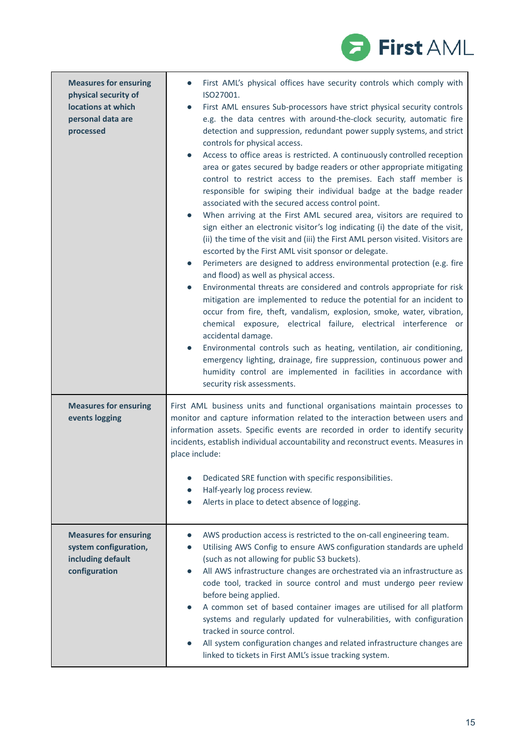

| <b>Measures for ensuring</b><br>physical security of<br>locations at which<br>personal data are<br>processed | First AML's physical offices have security controls which comply with<br>ISO27001.<br>First AML ensures Sub-processors have strict physical security controls<br>e.g. the data centres with around-the-clock security, automatic fire<br>detection and suppression, redundant power supply systems, and strict<br>controls for physical access.<br>Access to office areas is restricted. A continuously controlled reception<br>$\bullet$<br>area or gates secured by badge readers or other appropriate mitigating<br>control to restrict access to the premises. Each staff member is<br>responsible for swiping their individual badge at the badge reader<br>associated with the secured access control point.<br>When arriving at the First AML secured area, visitors are required to<br>sign either an electronic visitor's log indicating (i) the date of the visit,<br>(ii) the time of the visit and (iii) the First AML person visited. Visitors are<br>escorted by the First AML visit sponsor or delegate.<br>Perimeters are designed to address environmental protection (e.g. fire<br>and flood) as well as physical access.<br>Environmental threats are considered and controls appropriate for risk<br>mitigation are implemented to reduce the potential for an incident to<br>occur from fire, theft, vandalism, explosion, smoke, water, vibration,<br>chemical exposure, electrical failure, electrical interference or<br>accidental damage.<br>Environmental controls such as heating, ventilation, air conditioning,<br>emergency lighting, drainage, fire suppression, continuous power and<br>humidity control are implemented in facilities in accordance with<br>security risk assessments. |
|--------------------------------------------------------------------------------------------------------------|--------------------------------------------------------------------------------------------------------------------------------------------------------------------------------------------------------------------------------------------------------------------------------------------------------------------------------------------------------------------------------------------------------------------------------------------------------------------------------------------------------------------------------------------------------------------------------------------------------------------------------------------------------------------------------------------------------------------------------------------------------------------------------------------------------------------------------------------------------------------------------------------------------------------------------------------------------------------------------------------------------------------------------------------------------------------------------------------------------------------------------------------------------------------------------------------------------------------------------------------------------------------------------------------------------------------------------------------------------------------------------------------------------------------------------------------------------------------------------------------------------------------------------------------------------------------------------------------------------------------------------------------------------------------------------------------------------------------------|
| <b>Measures for ensuring</b><br>events logging                                                               | First AML business units and functional organisations maintain processes to<br>monitor and capture information related to the interaction between users and<br>information assets. Specific events are recorded in order to identify security<br>incidents, establish individual accountability and reconstruct events. Measures in<br>place include:<br>Dedicated SRE function with specific responsibilities.<br>Half-yearly log process review.<br>Alerts in place to detect absence of logging.                                                                                                                                                                                                                                                                                                                                                                                                                                                                                                                                                                                                                                                                                                                                                                                                                                                                                                                                                                                                                                                                                                                                                                                                                      |
| <b>Measures for ensuring</b><br>system configuration,<br>including default<br>configuration                  | AWS production access is restricted to the on-call engineering team.<br>Utilising AWS Config to ensure AWS configuration standards are upheld<br>(such as not allowing for public S3 buckets).<br>All AWS infrastructure changes are orchestrated via an infrastructure as<br>code tool, tracked in source control and must undergo peer review<br>before being applied.<br>A common set of based container images are utilised for all platform<br>systems and regularly updated for vulnerabilities, with configuration<br>tracked in source control.<br>All system configuration changes and related infrastructure changes are<br>linked to tickets in First AML's issue tracking system.                                                                                                                                                                                                                                                                                                                                                                                                                                                                                                                                                                                                                                                                                                                                                                                                                                                                                                                                                                                                                            |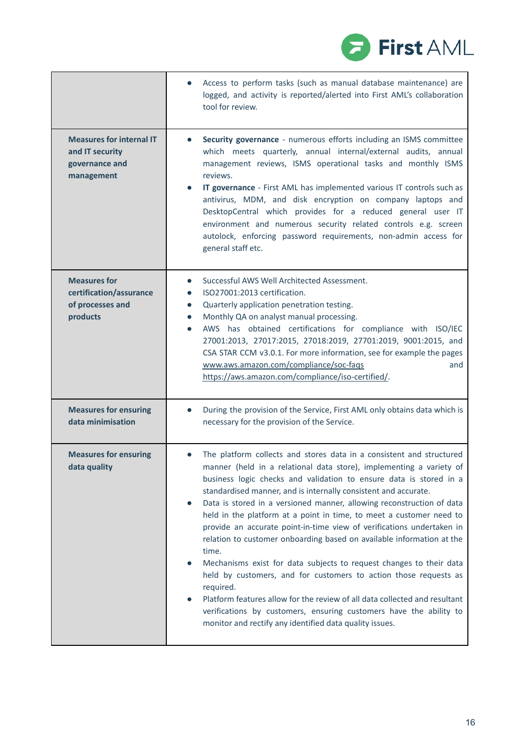

|                                                                                    | Access to perform tasks (such as manual database maintenance) are<br>logged, and activity is reported/alerted into First AML's collaboration<br>tool for review.                                                                                                                                                                                                                                                                                                                                                                                                                                                                                                                                                                                                                                                                                                                                                                                                                                 |
|------------------------------------------------------------------------------------|--------------------------------------------------------------------------------------------------------------------------------------------------------------------------------------------------------------------------------------------------------------------------------------------------------------------------------------------------------------------------------------------------------------------------------------------------------------------------------------------------------------------------------------------------------------------------------------------------------------------------------------------------------------------------------------------------------------------------------------------------------------------------------------------------------------------------------------------------------------------------------------------------------------------------------------------------------------------------------------------------|
| <b>Measures for internal IT</b><br>and IT security<br>governance and<br>management | Security governance - numerous efforts including an ISMS committee<br>which meets quarterly, annual internal/external audits, annual<br>management reviews, ISMS operational tasks and monthly ISMS<br>reviews.<br>IT governance - First AML has implemented various IT controls such as<br>antivirus, MDM, and disk encryption on company laptops and<br>DesktopCentral which provides for a reduced general user IT<br>environment and numerous security related controls e.g. screen<br>autolock, enforcing password requirements, non-admin access for<br>general staff etc.                                                                                                                                                                                                                                                                                                                                                                                                                 |
| <b>Measures for</b><br>certification/assurance<br>of processes and<br>products     | Successful AWS Well Architected Assessment.<br>$\bullet$<br>ISO27001:2013 certification.<br>Quarterly application penetration testing.<br>$\bullet$<br>Monthly QA on analyst manual processing.<br>$\bullet$<br>AWS has obtained certifications for compliance with ISO/IEC<br>$\bullet$<br>27001:2013, 27017:2015, 27018:2019, 27701:2019, 9001:2015, and<br>CSA STAR CCM v3.0.1. For more information, see for example the pages<br>www.aws.amazon.com/compliance/soc-fags<br>and<br>https://aws.amazon.com/compliance/iso-certified/.                                                                                                                                                                                                                                                                                                                                                                                                                                                         |
| <b>Measures for ensuring</b><br>data minimisation                                  | During the provision of the Service, First AML only obtains data which is<br>$\bullet$<br>necessary for the provision of the Service.                                                                                                                                                                                                                                                                                                                                                                                                                                                                                                                                                                                                                                                                                                                                                                                                                                                            |
| <b>Measures for ensuring</b><br>data quality                                       | The platform collects and stores data in a consistent and structured<br>manner (held in a relational data store), implementing a variety of<br>business logic checks and validation to ensure data is stored in a<br>standardised manner, and is internally consistent and accurate.<br>Data is stored in a versioned manner, allowing reconstruction of data<br>$\bullet$<br>held in the platform at a point in time, to meet a customer need to<br>provide an accurate point-in-time view of verifications undertaken in<br>relation to customer onboarding based on available information at the<br>time.<br>Mechanisms exist for data subjects to request changes to their data<br>held by customers, and for customers to action those requests as<br>required.<br>Platform features allow for the review of all data collected and resultant<br>$\bullet$<br>verifications by customers, ensuring customers have the ability to<br>monitor and rectify any identified data quality issues. |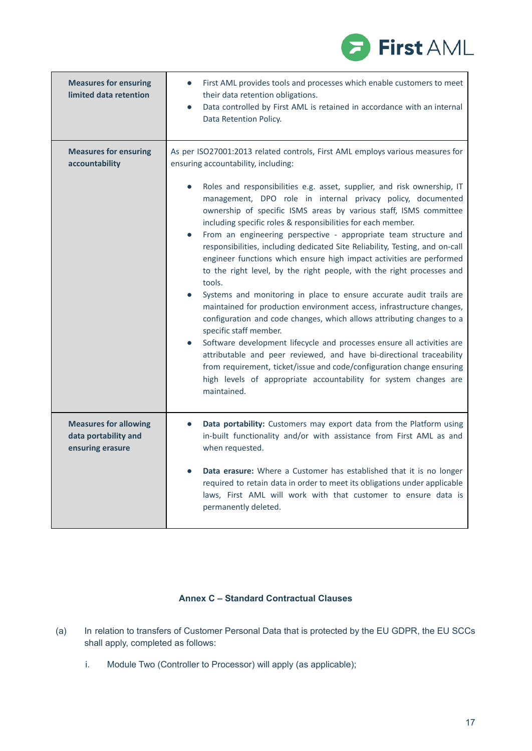

| <b>Measures for ensuring</b><br>limited data retention                   | First AML provides tools and processes which enable customers to meet<br>their data retention obligations.<br>Data controlled by First AML is retained in accordance with an internal<br>$\bullet$<br>Data Retention Policy.                                                                                                                                                                                                                                                                                                                                                                                                                                                                                                                                                                                                                                                                                                                                                                                                                                                                                                                                                                                                                                                                                  |
|--------------------------------------------------------------------------|---------------------------------------------------------------------------------------------------------------------------------------------------------------------------------------------------------------------------------------------------------------------------------------------------------------------------------------------------------------------------------------------------------------------------------------------------------------------------------------------------------------------------------------------------------------------------------------------------------------------------------------------------------------------------------------------------------------------------------------------------------------------------------------------------------------------------------------------------------------------------------------------------------------------------------------------------------------------------------------------------------------------------------------------------------------------------------------------------------------------------------------------------------------------------------------------------------------------------------------------------------------------------------------------------------------|
| <b>Measures for ensuring</b><br>accountability                           | As per ISO27001:2013 related controls, First AML employs various measures for<br>ensuring accountability, including:<br>Roles and responsibilities e.g. asset, supplier, and risk ownership, IT<br>management, DPO role in internal privacy policy, documented<br>ownership of specific ISMS areas by various staff, ISMS committee<br>including specific roles & responsibilities for each member.<br>From an engineering perspective - appropriate team structure and<br>$\bullet$<br>responsibilities, including dedicated Site Reliability, Testing, and on-call<br>engineer functions which ensure high impact activities are performed<br>to the right level, by the right people, with the right processes and<br>tools.<br>Systems and monitoring in place to ensure accurate audit trails are<br>maintained for production environment access, infrastructure changes,<br>configuration and code changes, which allows attributing changes to a<br>specific staff member.<br>Software development lifecycle and processes ensure all activities are<br>$\bullet$<br>attributable and peer reviewed, and have bi-directional traceability<br>from requirement, ticket/issue and code/configuration change ensuring<br>high levels of appropriate accountability for system changes are<br>maintained. |
| <b>Measures for allowing</b><br>data portability and<br>ensuring erasure | Data portability: Customers may export data from the Platform using<br>$\bullet$<br>in-built functionality and/or with assistance from First AML as and<br>when requested.<br>Data erasure: Where a Customer has established that it is no longer<br>required to retain data in order to meet its obligations under applicable<br>laws, First AML will work with that customer to ensure data is<br>permanently deleted.                                                                                                                                                                                                                                                                                                                                                                                                                                                                                                                                                                                                                                                                                                                                                                                                                                                                                      |

## **Annex C – Standard Contractual Clauses**

- (a) In relation to transfers of Customer Personal Data that is protected by the EU GDPR, the EU SCCs shall apply, completed as follows:
	- i. Module Two (Controller to Processor) will apply (as applicable);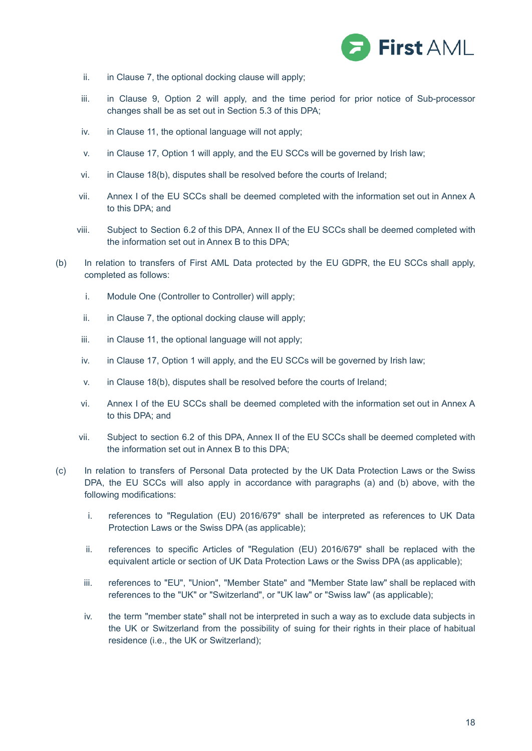

- ii. in Clause 7, the optional docking clause will apply;
- iii. in Clause 9, Option 2 will apply, and the time period for prior notice of Sub-processor changes shall be as set out in Section 5.3 of this DPA;
- iv. in Clause 11, the optional language will not apply;
- v. in Clause 17, Option 1 will apply, and the EU SCCs will be governed by Irish law;
- vi. in Clause 18(b), disputes shall be resolved before the courts of Ireland;
- vii. Annex I of the EU SCCs shall be deemed completed with the information set out in Annex A to this DPA; and
- viii. Subject to Section 6.2 of this DPA, Annex II of the EU SCCs shall be deemed completed with the information set out in Annex B to this DPA;
- (b) In relation to transfers of First AML Data protected by the EU GDPR, the EU SCCs shall apply, completed as follows:
	- i. Module One (Controller to Controller) will apply;
	- ii. in Clause 7, the optional docking clause will apply;
	- iii. in Clause 11, the optional language will not apply;
	- iv. in Clause 17, Option 1 will apply, and the EU SCCs will be governed by Irish law;
	- v. in Clause 18(b), disputes shall be resolved before the courts of Ireland;
	- vi. Annex I of the EU SCCs shall be deemed completed with the information set out in Annex A to this DPA; and
	- vii. Subject to section 6.2 of this DPA, Annex II of the EU SCCs shall be deemed completed with the information set out in Annex B to this DPA;
- (c) In relation to transfers of Personal Data protected by the UK Data Protection Laws or the Swiss DPA, the EU SCCs will also apply in accordance with paragraphs (a) and (b) above, with the following modifications:
	- i. references to "Regulation (EU) 2016/679" shall be interpreted as references to UK Data Protection Laws or the Swiss DPA (as applicable);
	- ii. references to specific Articles of "Regulation (EU) 2016/679" shall be replaced with the equivalent article or section of UK Data Protection Laws or the Swiss DPA (as applicable);
	- iii. references to "EU", "Union", "Member State" and "Member State law" shall be replaced with references to the "UK" or "Switzerland", or "UK law" or "Swiss law" (as applicable);
	- iv. the term "member state" shall not be interpreted in such a way as to exclude data subjects in the UK or Switzerland from the possibility of suing for their rights in their place of habitual residence (i.e., the UK or Switzerland);